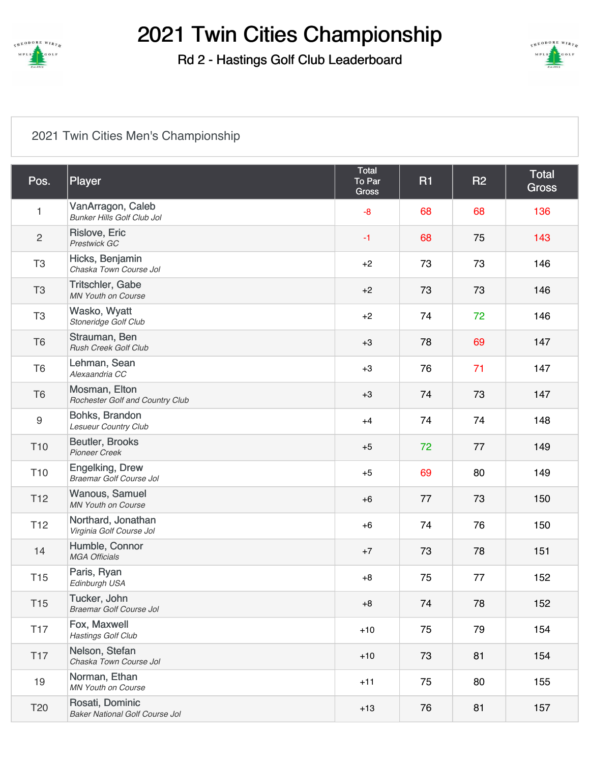

Rd 2 - Hastings Golf Club Leaderboard



#### [2021 Twin Cities Men's Championship](https://cdn2.golfgenius.com/v2tournaments/2022640?called_from=&round_index=2)

| Pos.             | Player                                                   | Total<br>To Par<br><b>Gross</b> | <b>R1</b> | <b>R2</b> | <b>Total</b><br><b>Gross</b> |
|------------------|----------------------------------------------------------|---------------------------------|-----------|-----------|------------------------------|
| 1                | VanArragon, Caleb<br><b>Bunker Hills Golf Club Jol</b>   | $-8$                            | 68        | 68        | 136                          |
| $\overline{c}$   | Rislove, Eric<br>Prestwick GC                            | $-1$                            | 68        | 75        | 143                          |
| T <sub>3</sub>   | Hicks, Benjamin<br>Chaska Town Course Jol                | $+2$                            | 73        | 73        | 146                          |
| T <sub>3</sub>   | Tritschler, Gabe<br><b>MN Youth on Course</b>            | $+2$                            | 73        | 73        | 146                          |
| T <sub>3</sub>   | Wasko, Wyatt<br>Stoneridge Golf Club                     | $+2$                            | 74        | 72        | 146                          |
| T <sub>6</sub>   | Strauman, Ben<br><b>Rush Creek Golf Club</b>             | $+3$                            | 78        | 69        | 147                          |
| T <sub>6</sub>   | Lehman, Sean<br>Alexaandria CC                           | $+3$                            | 76        | 71        | 147                          |
| T <sub>6</sub>   | Mosman, Elton<br>Rochester Golf and Country Club         | $+3$                            | 74        | 73        | 147                          |
| $\boldsymbol{9}$ | Bohks, Brandon<br><b>Lesueur Country Club</b>            | $+4$                            | 74        | 74        | 148                          |
| T <sub>10</sub>  | <b>Beutler, Brooks</b><br><b>Pioneer Creek</b>           | $+5$                            | 72        | 77        | 149                          |
| T <sub>10</sub>  | <b>Engelking, Drew</b><br>Braemar Golf Course Jol        | $+5$                            | 69        | 80        | 149                          |
| T <sub>12</sub>  | Wanous, Samuel<br><b>MN Youth on Course</b>              | $+6$                            | 77        | 73        | 150                          |
| T <sub>12</sub>  | Northard, Jonathan<br>Virginia Golf Course Jol           | $+6$                            | 74        | 76        | 150                          |
| 14               | Humble, Connor<br><b>MGA Officials</b>                   | $+7$                            | 73        | 78        | 151                          |
| T <sub>15</sub>  | Paris, Ryan<br>Edinburgh USA                             | $+8$                            | 75        | 77        | 152                          |
| T <sub>15</sub>  | Tucker, John<br><b>Braemar Golf Course Jol</b>           | $+8$                            | 74        | 78        | 152                          |
| <b>T17</b>       | Fox, Maxwell<br><b>Hastings Golf Club</b>                | $+10$                           | 75        | 79        | 154                          |
| T <sub>17</sub>  | Nelson, Stefan<br>Chaska Town Course Jol                 | $+10$                           | 73        | 81        | 154                          |
| 19               | Norman, Ethan<br><b>MN Youth on Course</b>               | $+11$                           | 75        | 80        | 155                          |
| T <sub>20</sub>  | Rosati, Dominic<br><b>Baker National Golf Course Jol</b> | $+13$                           | 76        | 81        | 157                          |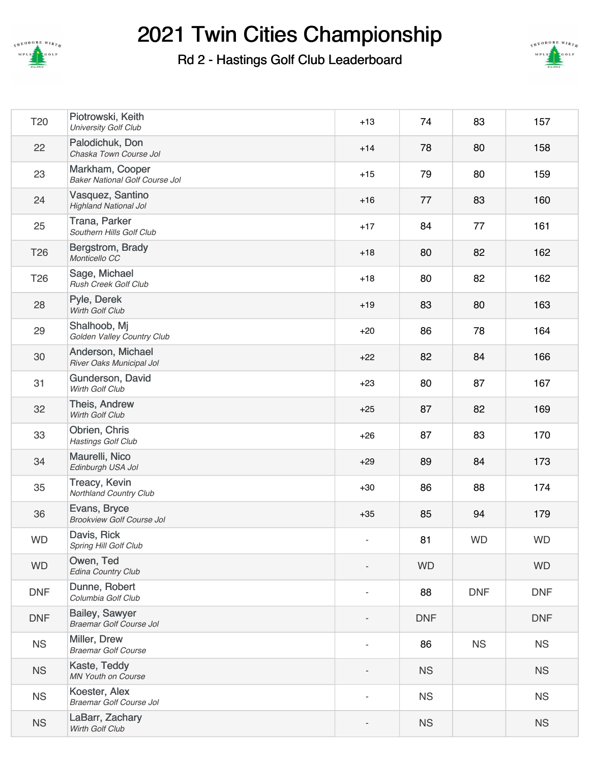

Rd 2 - Hastings Golf Club Leaderboard



| T <sub>20</sub> | Piotrowski, Keith<br><b>University Golf Club</b>         | $+13$                    | 74         | 83         | 157        |
|-----------------|----------------------------------------------------------|--------------------------|------------|------------|------------|
| 22              | Palodichuk, Don<br>Chaska Town Course Jol                | $+14$                    | 78         | 80         | 158        |
| 23              | Markham, Cooper<br><b>Baker National Golf Course Jol</b> | $+15$                    | 79         | 80         | 159        |
| 24              | Vasquez, Santino<br><b>Highland National Jol</b>         | $+16$                    | 77         | 83         | 160        |
| 25              | Trana, Parker<br>Southern Hills Golf Club                | $+17$                    | 84         | 77         | 161        |
| T <sub>26</sub> | Bergstrom, Brady<br>Monticello CC                        | $+18$                    | 80         | 82         | 162        |
| T <sub>26</sub> | Sage, Michael<br>Rush Creek Golf Club                    | $+18$                    | 80         | 82         | 162        |
| 28              | Pyle, Derek<br>Wirth Golf Club                           | $+19$                    | 83         | 80         | 163        |
| 29              | Shalhoob, Mj<br>Golden Valley Country Club               | $+20$                    | 86         | 78         | 164        |
| 30              | Anderson, Michael<br>River Oaks Municipal Jol            | $+22$                    | 82         | 84         | 166        |
| 31              | Gunderson, David<br>Wirth Golf Club                      | $+23$                    | 80         | 87         | 167        |
| 32              | Theis, Andrew<br>Wirth Golf Club                         | $+25$                    | 87         | 82         | 169        |
| 33              | Obrien, Chris<br><b>Hastings Golf Club</b>               | $+26$                    | 87         | 83         | 170        |
| 34              | Maurelli, Nico<br>Edinburgh USA Jol                      | $+29$                    | 89         | 84         | 173        |
| 35              | Treacy, Kevin<br>Northland Country Club                  | $+30$                    | 86         | 88         | 174        |
| 36              | Evans, Bryce<br><b>Brookview Golf Course Jol</b>         | $+35$                    | 85         | 94         | 179        |
| <b>WD</b>       | Davis, Rick<br>Spring Hill Golf Club                     | $\overline{\phantom{a}}$ | 81         | <b>WD</b>  | <b>WD</b>  |
| <b>WD</b>       | Owen, Ted<br>Edina Country Club                          |                          | <b>WD</b>  |            | <b>WD</b>  |
| <b>DNF</b>      | Dunne, Robert<br>Columbia Golf Club                      | $\overline{\phantom{a}}$ | 88         | <b>DNF</b> | <b>DNF</b> |
| <b>DNF</b>      | Bailey, Sawyer<br>Braemar Golf Course Jol                |                          | <b>DNF</b> |            | <b>DNF</b> |
| <b>NS</b>       | Miller, Drew<br><b>Braemar Golf Course</b>               | $\overline{a}$           | 86         | <b>NS</b>  | <b>NS</b>  |
| <b>NS</b>       | Kaste, Teddy<br>MN Youth on Course                       |                          | <b>NS</b>  |            | <b>NS</b>  |
| <b>NS</b>       | Koester, Alex<br><b>Braemar Golf Course Jol</b>          | $\blacksquare$           | <b>NS</b>  |            | <b>NS</b>  |
| <b>NS</b>       | LaBarr, Zachary<br>Wirth Golf Club                       |                          | <b>NS</b>  |            | <b>NS</b>  |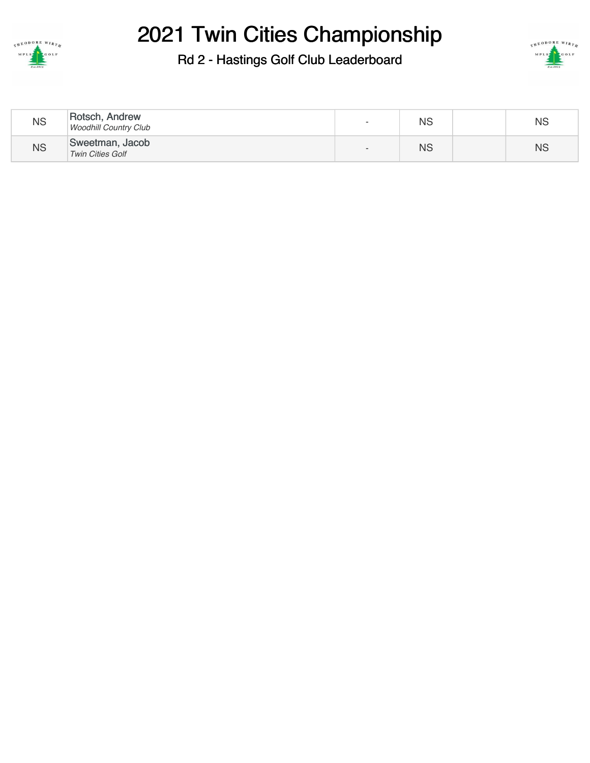

#### Rd 2 - Hastings Golf Club Leaderboard



| <b>NS</b> | Rotsch, Andrew<br><b>Woodhill Country Club</b> | $\overline{\phantom{0}}$ | <b>NS</b> | <b>NS</b> |
|-----------|------------------------------------------------|--------------------------|-----------|-----------|
| <b>NS</b> | Sweetman, Jacob<br><b>Twin Cities Golf</b>     | $\overline{\phantom{0}}$ | <b>NS</b> | <b>NS</b> |